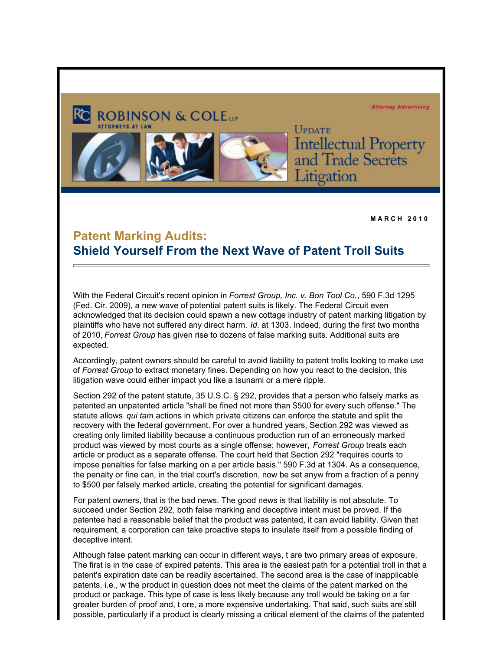**Attorney Advertising** 



**UPDATE Intellectual Property**<br>and Trade Secrets itigation

**M A R C H 2 0 1 0**

## **Patent Marking Audits: Shield Yourself From the Next Wave of Patent Troll Suits**

With the Federal Circuit's recent opinion in *Forrest Group, Inc. v. Bon Tool Co.*, 590 F.3d 1295 (Fed. Cir. 2009), a new wave of potential patent suits is likely. The Federal Circuit even acknowledged that its decision could spawn a new cottage industry of patent marking litigation by plaintiffs who have not suffered any direct harm. *Id*. at 1303. Indeed, during the first two months of 2010, *Forrest Group* has given rise to dozens of false marking suits. Additional suits are expected.

Accordingly, patent owners should be careful to avoid liability to patent trolls looking to make use of *Forrest Group* to extract monetary fines. Depending on how you react to the decision, this litigation wave could either impact you like a tsunami or a mere ripple.

Section 292 of the patent statute, 35 U.S.C. § 292, provides that a person who falsely marks as patented an unpatented article "shall be fined not more than \$500 for every such offense." The statute allows *qui tam* actions in which private citizens can enforce the statute and split the recovery with the federal government. For over a hundred years, Section 292 was viewed as creating only limited liability because a continuous production run of an erroneously marked product was viewed by most courts as a single offense; however, *Forrest Group* treats each article or product as a separate offense. The court held that Section 292 "requires courts to impose penalties for false marking on a per article basis." 590 F.3d at 1304. As a consequence, the penalty or fine can, in the trial court's discretion, now be set anyw from a fraction of a penny to \$500 per falsely marked article, creating the potential for significant damages.

For patent owners, that is the bad news. The good news is that liability is not absolute. To succeed under Section 292, both false marking and deceptive intent must be proved. If the patentee had a reasonable belief that the product was patented, it can avoid liability. Given that requirement, a corporation can take proactive steps to insulate itself from a possible finding of deceptive intent.

Although false patent marking can occur in different ways, t are two primary areas of exposure. The first is in the case of expired patents. This area is the easiest path for a potential troll in that a patent's expiration date can be readily ascertained. The second area is the case of inapplicable patents, i.e., w the product in question does not meet the claims of the patent marked on the product or package. This type of case is less likely because any troll would be taking on a far greater burden of proof and, t ore, a more expensive undertaking. That said, such suits are still possible, particularly if a product is clearly missing a critical element of the claims of the patented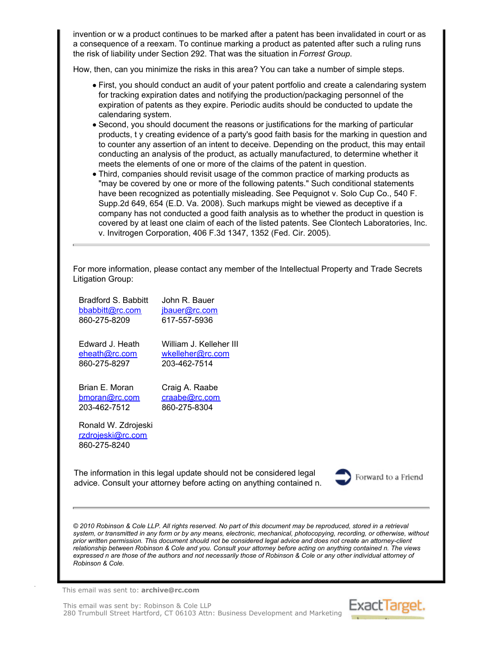invention or w a product continues to be marked after a patent has been invalidated in court or as a consequence of a reexam. To continue marking a product as patented after such a ruling runs the risk of liability under Section 292. That was the situation in *Forrest Group*.

How, then, can you minimize the risks in this area? You can take a number of simple steps.

- First, you should conduct an audit of your patent portfolio and create a calendaring system for tracking expiration dates and notifying the production/packaging personnel of the expiration of patents as they expire. Periodic audits should be conducted to update the calendaring system.
- Second, you should document the reasons or justifications for the marking of particular products, t y creating evidence of a party's good faith basis for the marking in question and to counter any assertion of an intent to deceive. Depending on the product, this may entail conducting an analysis of the product, as actually manufactured, to determine whether it meets the elements of one or more of the claims of the patent in question.
- Third, companies should revisit usage of the common practice of marking products as "may be covered by one or more of the following patents." Such conditional statements have been recognized as potentially misleading. See Pequignot v. Solo Cup Co., 540 F. Supp.2d 649, 654 (E.D. Va. 2008). Such markups might be viewed as deceptive if a company has not conducted a good faith analysis as to whether the product in question is covered by at least one claim of each of the listed patents. See Clontech Laboratories, Inc. v. Invitrogen Corporation, 406 F.3d 1347, 1352 (Fed. Cir. 2005).

For more information, please contact any member of the Intellectual Property and Trade Secrets Litigation Group:

| Bradford S. Babbitt<br>bbabbitt@rc.com<br>860-275-8209   | John R. Bauer<br>jbauer@rc.com<br>617-557-5936                                                                                              |                     |
|----------------------------------------------------------|---------------------------------------------------------------------------------------------------------------------------------------------|---------------------|
| Edward J. Heath<br>eheath@rc.com<br>860-275-8297         | William J. Kelleher III<br>wkelleher@rc.com<br>203-462-7514                                                                                 |                     |
| Brian E. Moran<br>bmoran@rc.com<br>203-462-7512          | Craig A. Raabe<br>craabe@rc.com<br>860-275-8304                                                                                             |                     |
| Ronald W. Zdrojeski<br>rzdrojeski@rc.com<br>860-275-8240 |                                                                                                                                             |                     |
|                                                          | The information in this legal update should not be considered legal<br>advice. Consult your attorney before acting on anything contained n. | Forward to a Friend |
|                                                          |                                                                                                                                             |                     |

*© 2010 Robinson & Cole LLP. All rights reserved. No part of this document may be reproduced, stored in a retrieval system, or transmitted in any form or by any means, electronic, mechanical, photocopying, recording, or otherwise, without prior written permission. This document should not be considered legal advice and does not create an attorney-client relationship between Robinson & Cole and you. Consult your attorney before acting on anything contained n. The views expressed n are those of the authors and not necessarily those of Robinson & Cole or any other individual attorney of Robinson & Cole.*

This email was sent to: **archive@rc.com**

This email was sent by: Robinson & Cole LLP 280 Trumbull Street Hartford, CT 06103 Attn: Business Development and Marketing